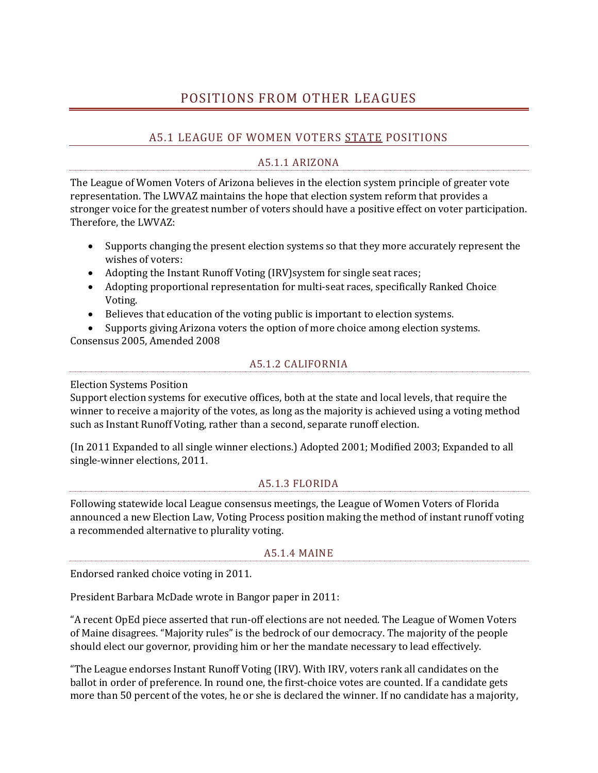# POSITIONS FROM OTHER LEAGUES

## A5.1 LEAGUE OF WOMEN VOTERS STATE POSITIONS

### A5.1.1 ARIZONA

The League of Women Voters of Arizona believes in the election system principle of greater vote representation. The LWVAZ maintains the hope that election system reform that provides a stronger voice for the greatest number of voters should have a positive effect on voter participation. Therefore, the LWVAZ:

- Supports changing the present election systems so that they more accurately represent the wishes of voters:
- Adopting the Instant Runoff Voting (IRV) system for single seat races;
- Adopting proportional representation for multi-seat races, specifically Ranked Choice Voting.
- Believes that education of the voting public is important to election systems.

 Supports giving Arizona voters the option of more choice among election systems. Consensus 2005, Amended 2008

#### A5.1.2 CALIFORNIA

Election Systems Position

Support election systems for executive offices, both at the state and local levels, that require the winner to receive a majority of the votes, as long as the majority is achieved using a voting method such as Instant Runoff Voting, rather than a second, separate runoff election.

(In 2011 Expanded to all single winner elections.) Adopted 2001; Modified 2003; Expanded to all single-winner elections, 2011.

#### A5.1.3 FLORIDA

Following statewide local League consensus meetings, the League of Women Voters of Florida announced a new Election Law, Voting Process position making the method of instant runoff voting a recommended alternative to plurality voting.

#### A5.1.4 MAINE

Endorsed ranked choice voting in 2011.

President Barbara McDade wrote in Bangor paper in 2011:

"A recent OpEd piece asserted that run-off elections are not needed. The League of Women Voters of Maine disagrees. "Majority rules" is the bedrock of our democracy. The majority of the people should elect our governor, providing him or her the mandate necessary to lead effectively.

"The League endorses Instant Runoff Voting (IRV). With IRV, voters rank all candidates on the ballot in order of preference. In round one, the first-choice votes are counted. If a candidate gets more than 50 percent of the votes, he or she is declared the winner. If no candidate has a majority,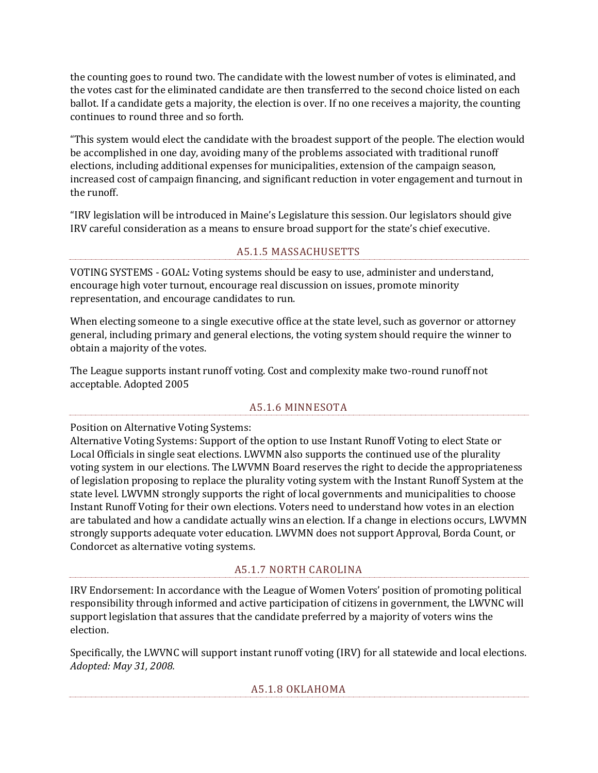the counting goes to round two. The candidate with the lowest number of votes is eliminated, and the votes cast for the eliminated candidate are then transferred to the second choice listed on each ballot. If a candidate gets a majority, the election is over. If no one receives a majority, the counting continues to round three and so forth.

"This system would elect the candidate with the broadest support of the people. The election would be accomplished in one day, avoiding many of the problems associated with traditional runoff elections, including additional expenses for municipalities, extension of the campaign season, increased cost of campaign financing, and significant reduction in voter engagement and turnout in the runoff.

"IRV legislation will be introduced in Maine's Legislature this session. Our legislators should give IRV careful consideration as a means to ensure broad support for the state's chief executive.

### A5.1.5 MASSACHUSETTS

VOTING SYSTEMS - GOAL: Voting systems should be easy to use, administer and understand, encourage high voter turnout, encourage real discussion on issues, promote minority representation, and encourage candidates to run.

When electing someone to a single executive office at the state level, such as governor or attorney general, including primary and general elections, the voting system should require the winner to obtain a majority of the votes.

The League supports instant runoff voting. Cost and complexity make two-round runoff not acceptable. Adopted 2005

#### A5.1.6 MINNESOTA

Position on Alternative Voting Systems:

Alternative Voting Systems: Support of the option to use Instant Runoff Voting to elect State or Local Officials in single seat elections. LWVMN also supports the continued use of the plurality voting system in our elections. The LWVMN Board reserves the right to decide the appropriateness of legislation proposing to replace the plurality voting system with the Instant Runoff System at the state level. LWVMN strongly supports the right of local governments and municipalities to choose Instant Runoff Voting for their own elections. Voters need to understand how votes in an election are tabulated and how a candidate actually wins an election. If a change in elections occurs, LWVMN strongly supports adequate voter education. LWVMN does not support Approval, Borda Count, or Condorcet as alternative voting systems.

### A5.1.7 NORTH CAROLINA

IRV Endorsement: In accordance with the League of Women Voters' position of promoting political responsibility through informed and active participation of citizens in government, the LWVNC will support legislation that assures that the candidate preferred by a majority of voters wins the election.

Specifically, the LWVNC will support instant runoff voting (IRV) for all statewide and local elections. *Adopted: May 31, 2008.*

#### A5.1.8 OKLAHOMA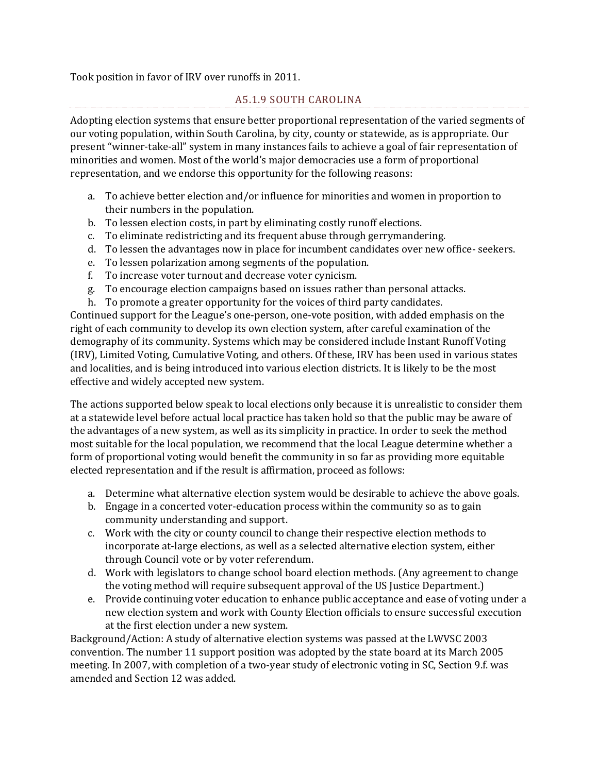Took position in favor of IRV over runoffs in 2011.

### A5.1.9 SOUTH CAROLINA

Adopting election systems that ensure better proportional representation of the varied segments of our voting population, within South Carolina, by city, county or statewide, as is appropriate. Our present "winner-take-all" system in many instances fails to achieve a goal of fair representation of minorities and women. Most of the world's major democracies use a form of proportional representation, and we endorse this opportunity for the following reasons:

- a. To achieve better election and/or influence for minorities and women in proportion to their numbers in the population.
- b. To lessen election costs, in part by eliminating costly runoff elections.
- c. To eliminate redistricting and its frequent abuse through gerrymandering.
- d. To lessen the advantages now in place for incumbent candidates over new office- seekers.
- e. To lessen polarization among segments of the population.
- f. To increase voter turnout and decrease voter cynicism.
- g. To encourage election campaigns based on issues rather than personal attacks.
- h. To promote a greater opportunity for the voices of third party candidates.

Continued support for the League's one-person, one-vote position, with added emphasis on the right of each community to develop its own election system, after careful examination of the demography of its community. Systems which may be considered include Instant Runoff Voting (IRV), Limited Voting, Cumulative Voting, and others. Of these, IRV has been used in various states and localities, and is being introduced into various election districts. It is likely to be the most effective and widely accepted new system.

The actions supported below speak to local elections only because it is unrealistic to consider them at a statewide level before actual local practice has taken hold so that the public may be aware of the advantages of a new system, as well as its simplicity in practice. In order to seek the method most suitable for the local population, we recommend that the local League determine whether a form of proportional voting would benefit the community in so far as providing more equitable elected representation and if the result is affirmation, proceed as follows:

- a. Determine what alternative election system would be desirable to achieve the above goals.
- b. Engage in a concerted voter-education process within the community so as to gain community understanding and support.
- c. Work with the city or county council to change their respective election methods to incorporate at-large elections, as well as a selected alternative election system, either through Council vote or by voter referendum.
- d. Work with legislators to change school board election methods. (Any agreement to change the voting method will require subsequent approval of the US Justice Department.)
- e. Provide continuing voter education to enhance public acceptance and ease of voting under a new election system and work with County Election officials to ensure successful execution at the first election under a new system.

Background/Action: A study of alternative election systems was passed at the LWVSC 2003 convention. The number 11 support position was adopted by the state board at its March 2005 meeting. In 2007, with completion of a two-year study of electronic voting in SC, Section 9.f. was amended and Section 12 was added.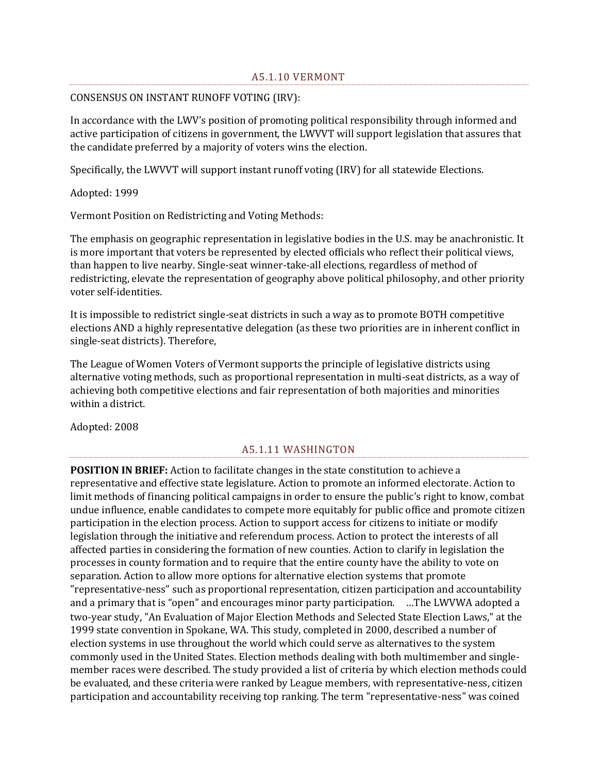#### CONSENSUS ON INSTANT RUNOFF VOTING (IRV):

In accordance with the LWV's position of promoting political responsibility through informed and active participation of citizens in government, the LWVVT will support legislation that assures that the candidate preferred by a majority of voters wins the election.

Specifically, the LWVVT will support instant runoff voting (IRV) for all statewide Elections.

Adopted: 1999

Vermont Position on Redistricting and Voting Methods:

The emphasis on geographic representation in legislative bodies in the U.S. may be anachronistic. It is more important that voters be represented by elected officials who reflect their political views, than happen to live nearby. Single-seat winner-take-all elections, regardless of method of redistricting, elevate the representation of geography above political philosophy, and other priority voter self-identities.

It is impossible to redistrict single-seat districts in such a way as to promote BOTH competitive elections AND a highly representative delegation (as these two priorities are in inherent conflict in single-seat districts). Therefore,

The League of Women Voters of Vermont supports the principle of legislative districts using alternative voting methods, such as proportional representation in multi-seat districts, as a way of achieving both competitive elections and fair representation of both majorities and minorities within a district.

Adopted: 2008

#### A5.1.11 WASHINGTON

**POSITION IN BRIEF:** Action to facilitate changes in the state constitution to achieve a representative and effective state legislature. Action to promote an informed electorate. Action to limit methods of financing political campaigns in order to ensure the public's right to know, combat undue influence, enable candidates to compete more equitably for public office and promote citizen participation in the election process. Action to support access for citizens to initiate or modify legislation through the initiative and referendum process. Action to protect the interests of all affected parties in considering the formation of new counties. Action to clarify in legislation the processes in county formation and to require that the entire county have the ability to vote on separation. Action to allow more options for alternative election systems that promote "representative-ness" such as proportional representation, citizen participation and accountability and a primary that is "open" and encourages minor party participation. …The LWVWA adopted a two-year study, "An Evaluation of Major Election Methods and Selected State Election Laws," at the 1999 state convention in Spokane, WA. This study, completed in 2000, described a number of election systems in use throughout the world which could serve as alternatives to the system commonly used in the United States. Election methods dealing with both multimember and singlemember races were described. The study provided a list of criteria by which election methods could be evaluated, and these criteria were ranked by League members, with representative-ness, citizen participation and accountability receiving top ranking. The term "representative-ness" was coined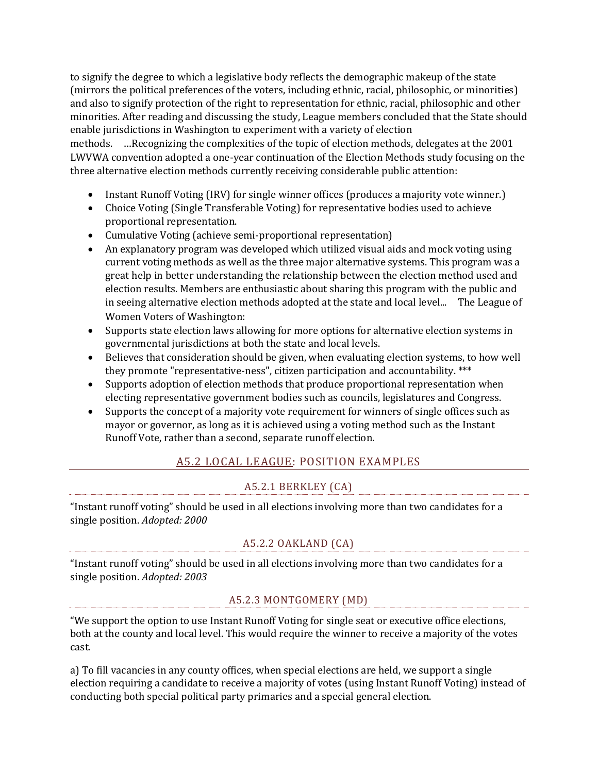to signify the degree to which a legislative body reflects the demographic makeup of the state (mirrors the political preferences of the voters, including ethnic, racial, philosophic, or minorities) and also to signify protection of the right to representation for ethnic, racial, philosophic and other minorities. After reading and discussing the study, League members concluded that the State should enable jurisdictions in Washington to experiment with a variety of election

methods. …Recognizing the complexities of the topic of election methods, delegates at the 2001 LWVWA convention adopted a one-year continuation of the Election Methods study focusing on the three alternative election methods currently receiving considerable public attention:

- Instant Runoff Voting (IRV) for single winner offices (produces a majority vote winner.)
- Choice Voting (Single Transferable Voting) for representative bodies used to achieve proportional representation.
- Cumulative Voting (achieve semi-proportional representation)
- An explanatory program was developed which utilized visual aids and mock voting using current voting methods as well as the three major alternative systems. This program was a great help in better understanding the relationship between the election method used and election results. Members are enthusiastic about sharing this program with the public and in seeing alternative election methods adopted at the state and local level... The League of Women Voters of Washington:
- Supports state election laws allowing for more options for alternative election systems in governmental jurisdictions at both the state and local levels.
- Believes that consideration should be given, when evaluating election systems, to how well they promote "representative-ness", citizen participation and accountability. \*\*\*
- Supports adoption of election methods that produce proportional representation when electing representative government bodies such as councils, legislatures and Congress.
- Supports the concept of a majority vote requirement for winners of single offices such as mayor or governor, as long as it is achieved using a voting method such as the Instant Runoff Vote, rather than a second, separate runoff election.

## A5.2 LOCAL LEAGUE: POSITION EXAMPLES

## A5.2.1 BERKLEY (CA)

"Instant runoff voting" should be used in all elections involving more than two candidates for a single position. *Adopted: 2000*

## A5.2.2 OAKLAND (CA)

"Instant runoff voting" should be used in all elections involving more than two candidates for a single position. *Adopted: 2003*

## A5.2.3 MONTGOMERY (MD)

"We support the option to use Instant Runoff Voting for single seat or executive office elections, both at the county and local level. This would require the winner to receive a majority of the votes cast.

a) To fill vacancies in any county offices, when special elections are held, we support a single election requiring a candidate to receive a majority of votes (using Instant Runoff Voting) instead of conducting both special political party primaries and a special general election.